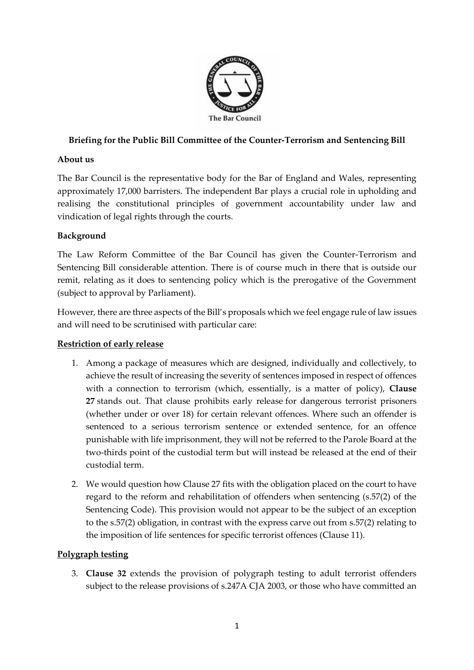

# **Briefing for the Public Bill Committee of the Counter-Terrorism and Sentencing Bill**

## **About us**

The Bar Council is the representative body for the Bar of England and Wales, representing approximately 17,000 barristers. The independent Bar plays a crucial role in upholding and realising the constitutional principles of government accountability under law and vindication of legal rights through the courts.

## **Background**

The Law Reform Committee of the Bar Council has given the Counter-Terrorism and Sentencing Bill considerable attention. There is of course much in there that is outside our remit, relating as it does to sentencing policy which is the prerogative of the Government (subject to approval by Parliament).

However, there are three aspects of the Bill's proposals which we feel engage rule of law issues and will need to be scrutinised with particular care:

## **Restriction of early release**

- 1. Among a package of measures which are designed, individually and collectively, to achieve the result of increasing the severity of sentences imposed in respect of offences with a connection to terrorism (which, essentially, is a matter of policy), **Clause 27** stands out. That clause prohibits early release for dangerous terrorist prisoners (whether under or over 18) for certain relevant offences. Where such an offender is sentenced to a serious terrorism sentence or extended sentence, for an offence punishable with life imprisonment, they will not be referred to the Parole Board at the two-thirds point of the custodial term but will instead be released at the end of their custodial term.
- 2. We would question how Clause 27 fits with the obligation placed on the court to have regard to the reform and rehabilitation of offenders when sentencing (s.57(2) of the Sentencing Code). This provision would not appear to be the subject of an exception to the s.57(2) obligation, in contrast with the express carve out from s.57(2) relating to the imposition of life sentences for specific terrorist offences (Clause 11).

## **Polygraph testing**

3. **Clause 32** extends the provision of polygraph testing to adult terrorist offenders subject to the release provisions of s.247A CJA 2003, or those who have committed an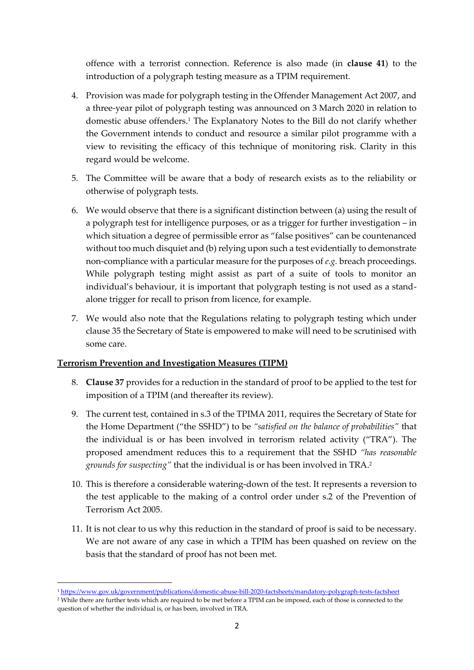offence with a terrorist connection. Reference is also made (in **clause 41**) to the introduction of a polygraph testing measure as a TPIM requirement.

- 4. Provision was made for polygraph testing in the Offender Management Act 2007, and a three-year pilot of polygraph testing was announced on 3 March 2020 in relation to domestic abuse offenders.<sup>1</sup> The Explanatory Notes to the Bill do not clarify whether the Government intends to conduct and resource a similar pilot programme with a view to revisiting the efficacy of this technique of monitoring risk. Clarity in this regard would be welcome.
- 5. The Committee will be aware that a body of research exists as to the reliability or otherwise of polygraph tests.
- 6. We would observe that there is a significant distinction between (a) using the result of a polygraph test for intelligence purposes, or as a trigger for further investigation – in which situation a degree of permissible error as "false positives" can be countenanced without too much disquiet and (b) relying upon such a test evidentially to demonstrate non-compliance with a particular measure for the purposes of *e.g.* breach proceedings. While polygraph testing might assist as part of a suite of tools to monitor an individual's behaviour, it is important that polygraph testing is not used as a standalone trigger for recall to prison from licence, for example.
- 7. We would also note that the Regulations relating to polygraph testing which under clause 35 the Secretary of State is empowered to make will need to be scrutinised with some care.

#### **Terrorism Prevention and Investigation Measures (TIPM)**

- 8. **Clause 37** provides for a reduction in the standard of proof to be applied to the test for imposition of a TPIM (and thereafter its review).
- 9. The current test, contained in s.3 of the TPIMA 2011, requires the Secretary of State for the Home Department ("the SSHD") to be *"satisfied on the balance of probabilities"* that the individual is or has been involved in terrorism related activity ("TRA"). The proposed amendment reduces this to a requirement that the SSHD *"has reasonable grounds for suspecting"* that the individual is or has been involved in TRA.<sup>2</sup>
- 10. This is therefore a considerable watering-down of the test. It represents a reversion to the test applicable to the making of a control order under s.2 of the Prevention of Terrorism Act 2005.
- 11. It is not clear to us why this reduction in the standard of proof is said to be necessary. We are not aware of any case in which a TPIM has been quashed on review on the basis that the standard of proof has not been met.

<sup>1</sup> <https://www.gov.uk/government/publications/domestic-abuse-bill-2020-factsheets/mandatory-polygraph-tests-factsheet>

<sup>2</sup> While there are further tests which are required to be met before a TPIM can be imposed, each of those is connected to the question of whether the individual is, or has been, involved in TRA.